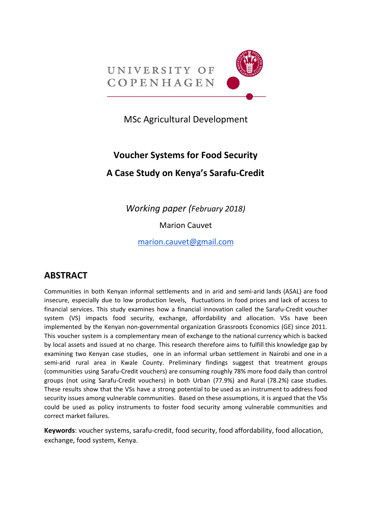

MSc Agricultural Development

# **Voucher Systems for Food Security A Case Study on Kenya's Sarafu-Credit**

*Working paper (February 2018)*

Marion Cauvet

[marion.cauvet@gmail.com](mailto:marion.cauvet@gmail.com)

# **ABSTRACT**

Communities in both Kenyan informal settlements and in arid and semi-arid lands (ASAL) are food insecure, especially due to low production levels, fluctuations in food prices and lack of access to financial services. This study examines how a financial innovation called the Sarafu-Credit voucher system (VS) impacts food security, exchange, affordability and allocation. VSs have been implemented by the Kenyan non-governmental organization Grassroots Economics (GE) since 2011. This voucher system is a complementary mean of exchange to the national currency which is backed by local assets and issued at no charge. This research therefore aims to fulfill this knowledge gap by examining two Kenyan case studies, one in an informal urban settlement in Nairobi and one in a semi-arid rural area in Kwale County. Preliminary findings suggest that treatment groups (communities using Sarafu-Credit vouchers) are consuming roughly 78% more food daily than control groups (not using Sarafu-Credit vouchers) in both Urban (77.9%) and Rural (78.2%) case studies. These results show that the VSs have a strong potential to be used as an instrument to address food security issues among vulnerable communities. Based on these assumptions, it is argued that the VSs could be used as policy instruments to foster food security among vulnerable communities and correct market failures.

**Keywords**: voucher systems, sarafu-credit, food security, food affordability, food allocation, exchange, food system, Kenya.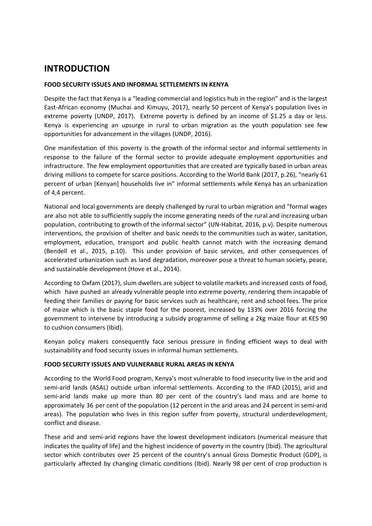# **INTRODUCTION**

#### **FOOD SECURITY ISSUES AND INFORMAL SETTLEMENTS IN KENYA**

Despite the fact that Kenya is a "leading commercial and logistics hub in the region" and is the largest East-African economy (Muchai and Kimuyu, 2017), nearly 50 percent of Kenya's population lives in extreme poverty (UNDP, 2017). Extreme poverty is defined by an income of \$1.25 a day or less. Kenya is experiencing an upsurge in rural to urban migration as the youth population see few opportunities for advancement in the villages (UNDP, 2016).

One manifestation of this poverty is the growth of the informal sector and informal settlements in response to the failure of the formal sector to provide adequate employment opportunities and infrastructure. The few employment opportunities that are created are typically based in urban areas driving millions to compete for scarce positions. According to the World Bank (2017, p.26), "nearly 61 percent of urban [Kenyan] households live in" informal settlements while Kenya has an urbanization of 4,4 percent.

National and local governments are deeply challenged by rural to urban migration and "formal wages are also not able to sufficiently supply the income generating needs of the rural and increasing urban population, contributing to growth of the informal sector" (UN-Habitat, 2016, p.v). Despite numerous interventions, the provision of shelter and basic needs to the communities such as water, sanitation, employment, education, transport and public health cannot match with the increasing demand (Bendell et al., 2015, p.10). This under provision of basic services, and other consequences of accelerated urbanization such as land degradation, moreover pose a threat to human society, peace, and sustainable development (Hove et al., 2014).

According to Oxfam (2017), slum dwellers are subject to volatile markets and increased costs of food, which have pushed an already vulnerable people into extreme poverty, rendering them incapable of feeding their families or paying for basic services such as healthcare, rent and school fees. The price of maize which is the basic staple food for the poorest, increased by 133% over 2016 forcing the government to intervene by introducing a subsidy programme of selling a 2kg maize flour at KES 90 to cushion consumers (Ibid).

Kenyan policy makers consequently face serious pressure in finding efficient ways to deal with sustainability and food security issues in informal human settlements.

#### **FOOD SECURITY ISSUES AND VULNERABLE RURAL AREAS IN KENYA**

According to the World Food program, Kenya's most vulnerable to food insecurity live in the arid and semi-arid lands (ASAL) outside urban informal settlements. According to the IFAD (2015), arid and semi-arid lands make up more than 80 per cent of the country's land mass and are home to approximately 36 per cent of the population (12 percent in the arid areas and 24 percent in semi-arid areas). The population who lives in this region suffer from poverty, structural underdevelopment, conflict and disease.

These arid and semi-arid regions have the lowest development indicators (numerical measure that indicates the quality of life) and the highest incidence of poverty in the country (Ibid). The agricultural sector which contributes over 25 percent of the country's annual Gross Domestic Product (GDP), is particularly affected by changing climatic conditions (Ibid). Nearly 98 per cent of crop production is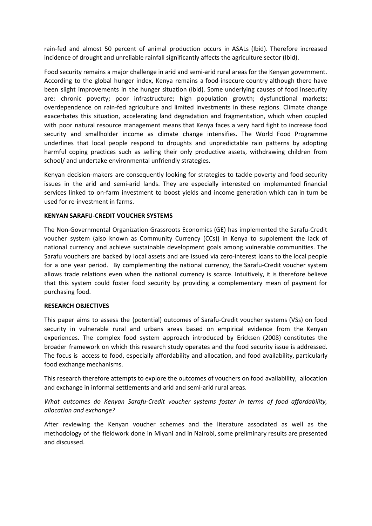rain-fed and almost 50 percent of animal production occurs in ASALs (Ibid). Therefore increased incidence of drought and unreliable rainfall significantly affects the agriculture sector (Ibid).

Food security remains a major challenge in arid and semi-arid rural areas for the Kenyan government. According to the global hunger index, Kenya remains a food-insecure country although there have been slight improvements in the hunger situation (Ibid). Some underlying causes of food insecurity are: chronic poverty; poor infrastructure; high population growth; dysfunctional markets; overdependence on rain-fed agriculture and limited investments in these regions. Climate change exacerbates this situation, accelerating land degradation and fragmentation, which when coupled with poor natural resource management means that Kenya faces a very hard fight to increase food security and smallholder income as climate change intensifies. The World Food Programme underlines that local people respond to droughts and unpredictable rain patterns by adopting harmful coping practices such as selling their only productive assets, withdrawing children from school/ and undertake environmental unfriendly strategies.

Kenyan decision-makers are consequently looking for strategies to tackle poverty and food security issues in the arid and semi-arid lands. They are especially interested on implemented financial services linked to on-farm investment to boost yields and income generation which can in turn be used for re-investment in farms.

#### **KENYAN SARAFU-CREDIT VOUCHER SYSTEMS**

The Non-Governmental Organization Grassroots Economics (GE) has implemented the Sarafu-Credit voucher system (also known as Community Currency (CCs)) in Kenya to supplement the lack of national currency and achieve sustainable development goals among vulnerable communities. The Sarafu vouchers are backed by local assets and are issued via zero-interest loans to the local people for a one year period. By complementing the national currency, the Sarafu-Credit voucher system allows trade relations even when the national currency is scarce. Intuitively, it is therefore believe that this system could foster food security by providing a complementary mean of payment for purchasing food.

#### **RESEARCH OBJECTIVES**

This paper aims to assess the (potential) outcomes of Sarafu-Credit voucher systems (VSs) on food security in vulnerable rural and urbans areas based on empirical evidence from the Kenyan experiences. The complex food system approach introduced by Ericksen (2008) constitutes the broader framework on which this research study operates and the food security issue is addressed. The focus is access to food, especially affordability and allocation, and food availability, particularly food exchange mechanisms.

This research therefore attempts to explore the outcomes of vouchers on food availability, allocation and exchange in informal settlements and arid and semi-arid rural areas.

*What outcomes do Kenyan Sarafu-Credit voucher systems foster in terms of food affordability, allocation and exchange?*

After reviewing the Kenyan voucher schemes and the literature associated as well as the methodology of the fieldwork done in Miyani and in Nairobi, some preliminary results are presented and discussed.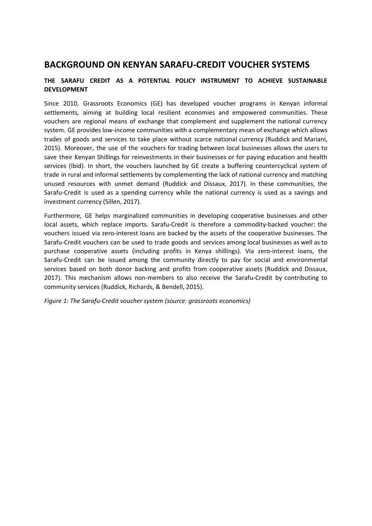### **BACKGROUND ON KENYAN SARAFU-CREDIT VOUCHER SYSTEMS**

#### **THE SARAFU CREDIT AS A POTENTIAL POLICY INSTRUMENT TO ACHIEVE SUSTAINABLE DEVELOPMENT**

Since 2010, Grassroots Economics (GE) has developed voucher programs in Kenyan informal settlements, aiming at building local resilient economies and empowered communities. These vouchers are regional means of exchange that complement and supplement the national currency system. GE provides low-income communities with a complementary mean of exchange which allows trades of goods and services to take place without scarce national currency (Ruddick and Mariani, 2015). Moreover, the use of the vouchers for trading between local businesses allows the users to save their Kenyan Shillings for reinvestments in their businesses or for paying education and health services (Ibid). In short, the vouchers launched by GE create a buffering countercyclical system of trade in rural and informal settlements by complementing the lack of national currency and matching unused resources with unmet demand (Ruddick and Dissaux, 2017). In these communities, the Sarafu-Credit is used as a spending currency while the national currency is used as a savings and investment currency (Sillen, 2017).

Furthermore, GE helps marginalized communities in developing cooperative businesses and other local assets, which replace imports. Sarafu-Credit is therefore a commodity-backed voucher: the vouchers issued via zero-interest loans are backed by the assets of the cooperative businesses. The Sarafu-Credit vouchers can be used to trade goods and services among local businesses as well as to purchase cooperative assets (including profits in Kenya shillings). Via zero-interest loans, the Sarafu-Credit can be issued among the community directly to pay for social and environmental services based on both donor backing and profits from cooperative assets (Ruddick and Dissaux, 2017). This mechanism allows non-members to also receive the Sarafu-Credit by contributing to community services (Ruddick, Richards, & Bendell, 2015).

*Figure 1: The Sarafu-Credit voucher system (source: grassroots economics)*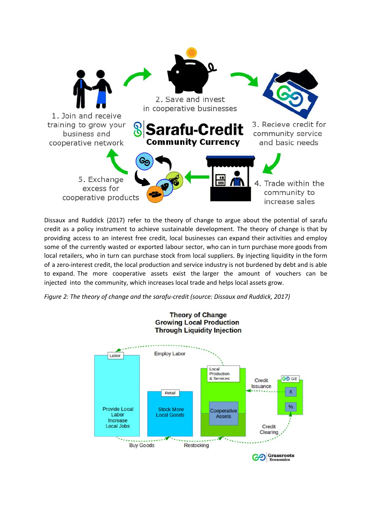

Dissaux and Ruddick (2017) refer to the theory of change to argue about the potential of sarafu credit as a policy instrument to achieve sustainable development. The theory of change is that by providing access to an interest free credit, local businesses can expand their activities and employ some of the currently wasted or exported labour sector, who can in turn purchase more goods from local retailers, who in turn can purchase stock from local suppliers. By injecting liquidity in the form of a zero-interest credit, the local production and service industry is not burdened by debt and is able to expand. The more cooperative assets exist the larger the amount of vouchers can be injected into the community, which increases local trade and helps local assets grow.

*Figure 2: The theory of change and the sarafu-credit (source: Dissaux and Ruddick, 2017)*

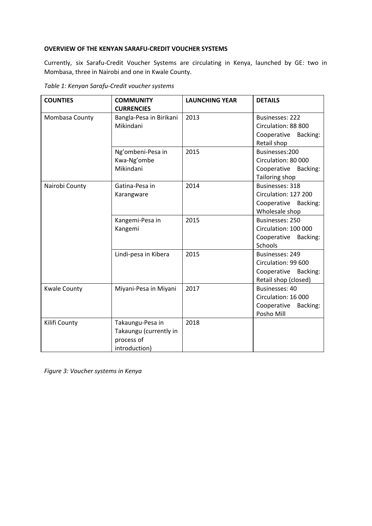#### **OVERVIEW OF THE KENYAN SARAFU-CREDIT VOUCHER SYSTEMS**

Currently, six Sarafu-Credit Voucher Systems are circulating in Kenya, launched by GE: two in Mombasa, three in Nairobi and one in Kwale County.

| <b>COUNTIES</b>     | <b>COMMUNITY</b><br><b>CURRENCIES</b>                                     | <b>LAUNCHING YEAR</b> | <b>DETAILS</b>                                                                           |
|---------------------|---------------------------------------------------------------------------|-----------------------|------------------------------------------------------------------------------------------|
| Mombasa County      | Bangla-Pesa in Birikani<br>Mikindani                                      | 2013                  | <b>Businesses: 222</b><br>Circulation: 88 800<br>Cooperative Backing:<br>Retail shop     |
|                     | Ng'ombeni-Pesa in<br>Kwa-Ng'ombe<br>Mikindani                             | 2015                  | Businesses:200<br>Circulation: 80 000<br>Cooperative Backing:<br>Tailoring shop          |
| Nairobi County      | Gatina-Pesa in<br>Karangware                                              | 2014                  | <b>Businesses: 318</b><br>Circulation: 127 200<br>Cooperative Backing:<br>Wholesale shop |
|                     | Kangemi-Pesa in<br>Kangemi                                                | 2015                  | Businesses: 250<br>Circulation: 100 000<br>Cooperative Backing:<br>Schools               |
|                     | Lindi-pesa in Kibera                                                      | 2015                  | Businesses: 249<br>Circulation: 99 600<br>Cooperative Backing:<br>Retail shop (closed)   |
| <b>Kwale County</b> | Miyani-Pesa in Miyani                                                     | 2017                  | Businesses: 40<br>Circulation: 16 000<br>Cooperative<br>Backing:<br>Posho Mill           |
| Kilifi County       | Takaungu-Pesa in<br>Takaungu (currently in<br>process of<br>introduction) | 2018                  |                                                                                          |

*Table 1: Kenyan Sarafu-Credit voucher systems*

*Figure 3: Voucher systems in Kenya*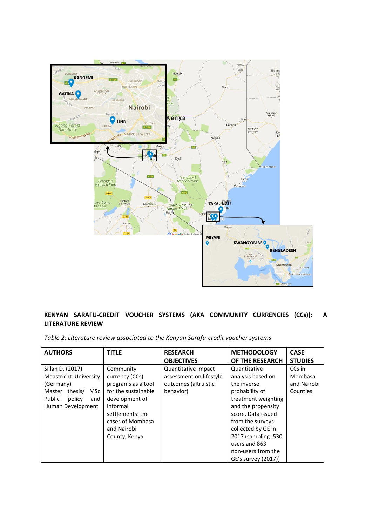

#### **KENYAN SARAFU-CREDIT VOUCHER SYSTEMS (AKA COMMUNITY CURRENCIES (CCs)): A LITERATURE REVIEW**

*Table 2: Literature review associated to the Kenyan Sarafu-credit voucher systems*

| <b>AUTHORS</b>                                                                                                                            | <b>TITLE</b>                                                                                                                                                                    | <b>RESEARCH</b><br><b>OBJECTIVES</b>                                                | <b>METHODOLOGY</b><br>OF THE RESEARCH                                                                                                                                                                                                                                 | <b>CASE</b><br><b>STUDIES</b>                |
|-------------------------------------------------------------------------------------------------------------------------------------------|---------------------------------------------------------------------------------------------------------------------------------------------------------------------------------|-------------------------------------------------------------------------------------|-----------------------------------------------------------------------------------------------------------------------------------------------------------------------------------------------------------------------------------------------------------------------|----------------------------------------------|
| Sillan D. (2017)<br>Maastricht University<br>(Germany)<br>Master<br>thesis/<br><b>MSc</b><br>Public<br>policy<br>and<br>Human Development | Community<br>currency (CCs)<br>programs as a tool<br>for the sustainable<br>development of<br>informal<br>settlements: the<br>cases of Mombasa<br>and Nairobi<br>County, Kenya. | Quantitative impact<br>assessment on lifestyle<br>outcomes (altruistic<br>behavior) | Quantitative<br>analysis based on<br>the inverse<br>probability of<br>treatment weighting<br>and the propensity<br>score. Data issued<br>from the surveys<br>collected by GE in<br>2017 (sampling: 530)<br>users and 863<br>non-users from the<br>GE's survey (2017)) | CCs in<br>Mombasa<br>and Nairobi<br>Counties |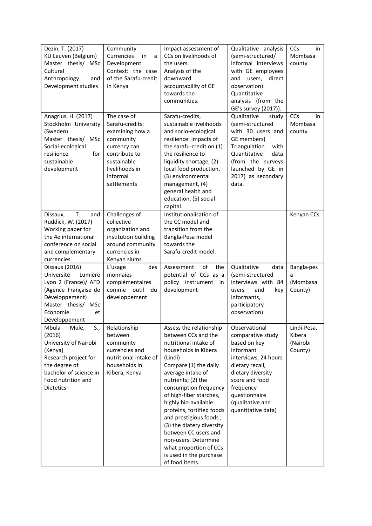| Dezin, T. (2017)<br>KU Leuven (Belgium)<br>Master thesis/ MSc<br>Cultural<br>Anthropology<br>and<br>Development studies                                                   | Community<br>Currencies<br>in<br>a<br>Development<br>Context: the case<br>of the Sarafu-credit<br>in Kenya                                                  | Impact assessment of<br>CCs on livelihoods of<br>the users.<br>Analysis of the<br>downward<br>accountability of GE<br>towards the<br>communities.                                                                                                                                                                                                                                                                                                                     | Qualitative analysis<br>(semi-structured/<br>informal interviews<br>with GE employees<br>direct<br>and<br>users,<br>observation).<br>Quantitative<br>analysis (from the<br>GE's survey (2017)).                           | CCs<br>in<br>Mombasa<br>county               |
|---------------------------------------------------------------------------------------------------------------------------------------------------------------------------|-------------------------------------------------------------------------------------------------------------------------------------------------------------|-----------------------------------------------------------------------------------------------------------------------------------------------------------------------------------------------------------------------------------------------------------------------------------------------------------------------------------------------------------------------------------------------------------------------------------------------------------------------|---------------------------------------------------------------------------------------------------------------------------------------------------------------------------------------------------------------------------|----------------------------------------------|
| Anagrius, H. (2017)<br>Stockholm University<br>(Sweden)<br>Master thesis/ MSc<br>Social-ecological<br>resilience<br>for<br>sustainable<br>development                     | The case of<br>Sarafu-credits:<br>examining how a<br>community<br>currency can<br>contribute to<br>sustainable<br>livelihoods in<br>informal<br>settlements | Sarafu-credits,<br>sustainable livelihoods<br>and socio-ecological<br>resilience: impacts of<br>the sarafu-credit on (1)<br>the resilience to<br>liquidity shortage, (2)<br>local food production,<br>(3) environmental<br>management, (4)<br>general health and<br>education, (5) social<br>capital.                                                                                                                                                                 | Qualitative<br>study<br>(semi-structured<br>with 30 users and<br>GE members)<br>Triangulation<br>with<br>Quantitative<br>data<br>(from the surveys<br>launched by GE in<br>2017) as secondary<br>data.                    | CCs<br>in<br>Mombasa<br>county               |
| T.<br>Dissaux.<br>and<br>Ruddick, W. (2017)<br>Working paper for<br>the 4e international<br>conference on social<br>and complementary<br>currencies                       | Challenges of<br>collective<br>organization and<br>institution building<br>around community<br>currencies in<br>Kenyan slums                                | Institutionalisation of<br>the CC model and<br>transition from the<br>Bangla-Pesa model<br>towards the<br>Sarafu-credit model.                                                                                                                                                                                                                                                                                                                                        |                                                                                                                                                                                                                           | Kenyan CCs                                   |
| Dissaux (2016)<br>Université<br>Lumière<br>Lyon 2 (France)/ AFD<br>(Agence Française de<br>Développement)<br>Master thesis/ MSc<br>Economie<br>et<br>Développement        | L'usage<br>des<br>monnaies<br>complémentaires<br>comme outil<br>- du<br>développement                                                                       | of<br>Assessment<br>the<br>potential of CCs as a<br>policy instrument in<br>development                                                                                                                                                                                                                                                                                                                                                                               | Qualitative<br>data<br>(semi-structured<br>interviews with 84<br>and<br>users<br>key<br>informants,<br>participatory<br>observation)                                                                                      | Bangla-pes<br>a<br>(Mombasa<br>County)       |
| Mbula<br>S.,<br>Mule,<br>(2016)<br>University of Nairobi<br>(Kenya)<br>Research project for<br>the degree of<br>bachelor of science in<br>Food nutrition and<br>Dietetics | Relationship<br>between<br>community<br>currencies and<br>nutritional intake of<br>households in<br>Kibera, Kenya                                           | Assess the relationship<br>between CCs and the<br>nutritional intake of<br>households in Kibera<br>(Lindi)<br>Compare (1) the daily<br>average intake of<br>nutrients; (2) the<br>consumption frequency<br>of high-fiber starches,<br>highly bio-available<br>proteins, fortified foods<br>and prestigious foods;<br>(3) the diatery diversity<br>between CC users and<br>non-users. Determine<br>what proportion of CCs<br>is used in the purchase<br>of food items. | Observational<br>comparative study<br>based on key<br>informant<br>interviews, 24 hours<br>dietary recall,<br>dietary diversity<br>score and food<br>frequency<br>questionnaire<br>(qualitative and<br>quantitative data) | Lindi-Pesa,<br>Kibera<br>(Nairobi<br>County) |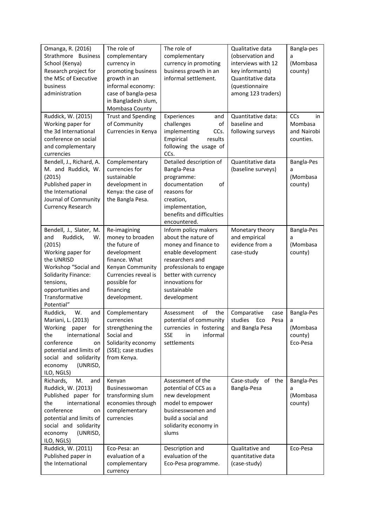| Omanga, R. (2016)<br>Strathmore Business<br>School (Kenya)<br>Research project for<br>the MSc of Executive<br>business<br>administration                                                                              | The role of<br>complementary<br>currency in<br>promoting business<br>growth in an<br>informal economy:<br>case of bangla-pesa<br>in Bangladesh slum,<br>Mombasa County     | The role of<br>complementary<br>currency in promoting<br>business growth in an<br>informal settlement.                                                                                                           | Qualitative data<br>(observation and<br>interviews with 12<br>key informants)<br>Quantitative data<br>(questionnaire<br>among 123 traders) | Bangla-pes<br>a<br>(Mombasa<br>county)             |
|-----------------------------------------------------------------------------------------------------------------------------------------------------------------------------------------------------------------------|----------------------------------------------------------------------------------------------------------------------------------------------------------------------------|------------------------------------------------------------------------------------------------------------------------------------------------------------------------------------------------------------------|--------------------------------------------------------------------------------------------------------------------------------------------|----------------------------------------------------|
| Ruddick, W. (2015)<br>Working paper for<br>the 3d International<br>conference on social<br>and complementary<br>currencies                                                                                            | <b>Trust and Spending</b><br>of Community<br>Currencies in Kenya                                                                                                           | Experiences<br>and<br>challenges<br>of<br>implementing<br>CCs.<br>Empirical<br>results<br>following the usage of<br>CCs.                                                                                         | Quantitative data:<br>baseline and<br>following surveys                                                                                    | CCs<br>in<br>Mombasa<br>and Nairobi<br>counties.   |
| Bendell, J., Richard, A.<br>M. and Ruddick, W.<br>(2015)<br>Published paper in<br>the International<br>Journal of Community<br><b>Currency Research</b>                                                               | Complementary<br>currencies for<br>sustainable<br>development in<br>Kenya: the case of<br>the Bangla Pesa.                                                                 | Detailed description of<br>Bangla-Pesa<br>programme:<br>documentation<br>of<br>reasons for<br>creation,<br>implementation,<br>benefits and difficulties<br>encountered.                                          | Quantitative data<br>(baseline surveys)                                                                                                    | Bangla-Pes<br>a<br>(Mombasa<br>county)             |
| Bendell, J., Slater, M.<br>Ruddick,<br>and<br>W.<br>(2015)<br>Working paper for<br>the UNRISD<br>Workshop "Social and<br><b>Solidarity Finance:</b><br>tensions,<br>opportunities and<br>Transformative<br>Potential" | Re-imagining<br>money to broaden<br>the future of<br>development<br>finance. What<br>Kenyan Community<br>Currencies reveal is<br>possible for<br>financing<br>development. | Inform policy makers<br>about the nature of<br>money and finance to<br>enable development<br>researchers and<br>professionals to engage<br>better with currency<br>innovations for<br>sustainable<br>development | Monetary theory<br>and empirical<br>evidence from a<br>case-study                                                                          | Bangla-Pes<br>a<br>(Mombasa<br>county)             |
| W.<br>Ruddick,<br>and<br>Mariani, L. (2013)<br>Working<br>paper for<br>the<br>international<br>conference<br>on<br>potential and limits of<br>social and solidarity<br>economy<br>(UNRISD,<br>ILO, NGLS)              | Complementary<br>currencies<br>strengthening the<br>Social and<br>Solidarity economy<br>(SSE); case studies<br>from Kenya.                                                 | of<br>Assessment<br>the<br>potential of community<br>currencies in fostering<br>informal<br><b>SSE</b><br>in<br>settlements                                                                                      | Comparative<br>case<br>studies<br>Eco<br>Pesa<br>and Bangla Pesa                                                                           | Bangla-Pes<br>a<br>(Mombasa<br>county)<br>Eco-Pesa |
| Richards,<br>M.<br>and<br>Ruddick, W. (2013)<br>Published paper for<br>the<br>international<br>conference<br>on<br>potential and limits of<br>social and solidarity<br>economy<br>(UNRISD,<br>ILO, NGLS)              | Kenyan<br>Businesswoman<br>transforming slum<br>economies through<br>complementary<br>currencies                                                                           | Assessment of the<br>potential of CCS as a<br>new development<br>model to empower<br>businesswomen and<br>build a social and<br>solidarity economy in<br>slums                                                   | of the<br>Case-study<br>Bangla-Pesa                                                                                                        | Bangla-Pes<br>a<br>(Mombasa<br>county)             |
| Ruddick, W. (2011)<br>Published paper in<br>the International                                                                                                                                                         | Eco-Pesa: an<br>evaluation of a<br>complementary<br>currency                                                                                                               | Description and<br>evaluation of the<br>Eco-Pesa programme.                                                                                                                                                      | Qualitative and<br>quantitative data<br>(case-study)                                                                                       | Eco-Pesa                                           |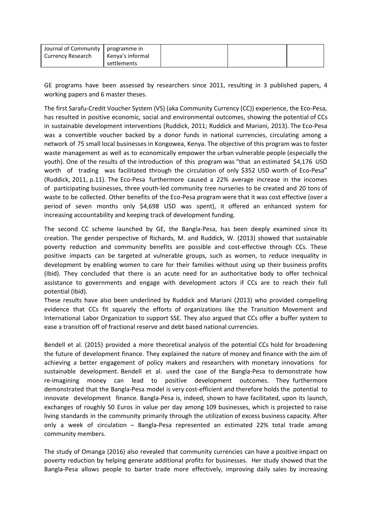| Journal of Community   programme in |                  |  |  |
|-------------------------------------|------------------|--|--|
| Currency Research                   | Kenya's informal |  |  |
|                                     | settlements      |  |  |

GE programs have been assessed by researchers since 2011, resulting in 3 published papers, 4 working papers and 6 master theses.

The first Sarafu-Credit Voucher System (VS) (aka Community Currency (CC)) experience, the Eco-Pesa, has resulted in positive economic, social and environmental outcomes, showing the potential of CCs in sustainable development interventions (Ruddick, 2011; Ruddick and Mariani, 2013). The Eco-Pesa was a convertible voucher backed by a donor funds in national currencies, circulating among a network of 75 small local businesses in Kongowea, Kenya. The objective of this program was to foster waste management as well as to economically empower the urban vulnerable people (especially the youth). One of the results of the introduction of this program was "that an estimated \$4,176 USD worth of trading was facilitated through the circulation of only \$352 USD worth of Eco-Pesa" (Ruddick, 2011, p.11). The Eco-Pesa furthermore caused a 22% average increase in the incomes of participating businesses, three youth-led community tree nurseries to be created and 20 tons of waste to be collected. Other benefits of the Eco-Pesa program were that it was cost effective (over a period of seven months only \$4,698 USD was spent), it offered an enhanced system for increasing accountability and keeping track of development funding.

The second CC scheme launched by GE, the Bangla-Pesa, has been deeply examined since its creation. The gender perspective of Richards, M. and Ruddick, W. (2013) showed that sustainable poverty reduction and community benefits are possible and cost-effective through CCs. These positive impacts can be targeted at vulnerable groups, such as women, to reduce inequality in development by enabling women to care for their families without using up their business profits (Ibid). They concluded that there is an acute need for an authoritative body to offer technical assistance to governments and engage with development actors if CCs are to reach their full potential (Ibid).

These results have also been underlined by Ruddick and Mariani (2013) who provided compelling evidence that CCs fit squarely the efforts of organizations like the Transition Movement and International Labor Organization to support SSE. They also argued that CCs offer a buffer system to ease a transition off of fractional reserve and debt based national currencies.

Bendell et al. (2015) provided a more theoretical analysis of the potential CCs hold for broadening the future of development finance. They explained the nature of money and finance with the aim of achieving a better engagement of policy makers and researchers with monetary innovations for sustainable development. Bendell et al. used the case of the Bangla-Pesa to demonstrate how re-imagining money can lead to positive development outcomes. They furthermore demonstrated that the Bangla-Pesa model is very cost-efficient and therefore holds the potential to innovate development finance. Bangla-Pesa is, indeed, shown to have facilitated, upon its launch, exchanges of roughly 50 Euros in value per day among 109 businesses, which is projected to raise living standards in the community primarily through the utilization of excess business capacity. After only a week of circulation – Bangla-Pesa represented an estimated 22% total trade among community members.

The study of Omanga (2016) also revealed that community currencies can have a positive impact on poverty reduction by helping generate additional profits for businesses. Her study showed that the Bangla-Pesa allows people to barter trade more effectively, improving daily sales by increasing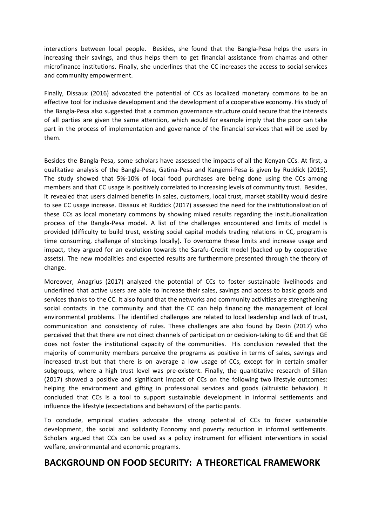interactions between local people. Besides, she found that the Bangla-Pesa helps the users in increasing their savings, and thus helps them to get financial assistance from chamas and other microfinance institutions. Finally, she underlines that the CC increases the access to social services and community empowerment.

Finally, Dissaux (2016) advocated the potential of CCs as localized monetary commons to be an effective tool for inclusive development and the development of a cooperative economy. His study of the Bangla-Pesa also suggested that a common governance structure could secure that the interests of all parties are given the same attention, which would for example imply that the poor can take part in the process of implementation and governance of the financial services that will be used by them.

Besides the Bangla-Pesa, some scholars have assessed the impacts of all the Kenyan CCs. At first, a qualitative analysis of the Bangla-Pesa, Gatina-Pesa and Kangemi-Pesa is given by Ruddick (2015). The study showed that 5%-10% of local food purchases are being done using the CCs among members and that CC usage is positively correlated to increasing levels of community trust. Besides, it revealed that users claimed benefits in sales, customers, local trust, market stability would desire to see CC usage increase. Dissaux et Ruddick (2017) assessed the need for the institutionalization of these CCs as local monetary commons by showing mixed results regarding the institutionalization process of the Bangla-Pesa model. A list of the challenges encountered and limits of model is provided (difficulty to build trust, existing social capital models trading relations in CC, program is time consuming, challenge of stockings locally). To overcome these limits and increase usage and impact, they argued for an evolution towards the Sarafu-Credit model (backed up by cooperative assets). The new modalities and expected results are furthermore presented through the theory of change.

Moreover, Anagrius (2017) analyzed the potential of CCs to foster sustainable livelihoods and underlined that active users are able to increase their sales, savings and access to basic goods and services thanks to the CC. It also found that the networks and community activities are strengthening social contacts in the community and that the CC can help financing the management of local environmental problems. The identified challenges are related to local leadership and lack of trust, communication and consistency of rules. These challenges are also found by Dezin (2017) who perceived that that there are not direct channels of participation or decision-taking to GE and that GE does not foster the institutional capacity of the communities. His conclusion revealed that the majority of community members perceive the programs as positive in terms of sales, savings and increased trust but that there is on average a low usage of CCs, except for in certain smaller subgroups, where a high trust level was pre-existent. Finally, the quantitative research of Sillan (2017) showed a positive and significant impact of CCs on the following two lifestyle outcomes: helping the environment and gifting in professional services and goods (altruistic behavior). It concluded that CCs is a tool to support sustainable development in informal settlements and influence the lifestyle (expectations and behaviors) of the participants.

To conclude, empirical studies advocate the strong potential of CCs to foster sustainable development, the social and solidarity Economy and poverty reduction in informal settlements. Scholars argued that CCs can be used as a policy instrument for efficient interventions in social welfare, environmental and economic programs.

## **BACKGROUND ON FOOD SECURITY: A THEORETICAL FRAMEWORK**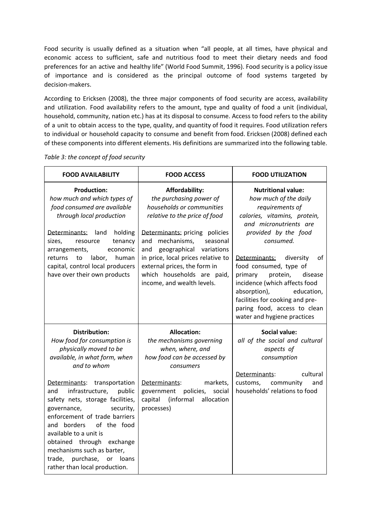Food security is usually defined as a situation when "all people, at all times, have physical and economic access to sufficient, safe and nutritious food to meet their dietary needs and food preferences for an active and healthy life" (World Food Summit, 1996). Food security is a policy issue of importance and is considered as the principal outcome of food systems targeted by decision-makers.

According to Ericksen (2008), the three major components of food security are access, availability and utilization. Food availability refers to the amount, type and quality of food a unit (individual, household, community, nation etc.) has at its disposal to consume. Access to food refers to the ability of a unit to obtain access to the type, quality, and quantity of food it requires. Food utilization refers to individual or household capacity to consume and benefit from food. Ericksen (2008) defined each of these components into different elements. His definitions are summarized into the following table.

| <b>FOOD AVAILABILITY</b>                                                                                                                                                                                                                                                                                                                                                                                                                                                            | <b>FOOD ACCESS</b>                                                                                                                                                                                                                                                                                                                                     | <b>FOOD UTILIZATION</b>                                                                                                                                                                                                                                                                                                                                                                                                               |
|-------------------------------------------------------------------------------------------------------------------------------------------------------------------------------------------------------------------------------------------------------------------------------------------------------------------------------------------------------------------------------------------------------------------------------------------------------------------------------------|--------------------------------------------------------------------------------------------------------------------------------------------------------------------------------------------------------------------------------------------------------------------------------------------------------------------------------------------------------|---------------------------------------------------------------------------------------------------------------------------------------------------------------------------------------------------------------------------------------------------------------------------------------------------------------------------------------------------------------------------------------------------------------------------------------|
| <b>Production:</b><br>how much and which types of<br>food consumed are available<br>through local production<br>Determinants: land<br>holding<br>tenancy<br>sizes,<br>resource<br>arrangements,<br>economic<br>labor,<br>human<br>returns<br>to<br>capital, control local producers<br>have over their own products                                                                                                                                                                 | <b>Affordability:</b><br>the purchasing power of<br>households or communities<br>relative to the price of food<br>Determinants: pricing policies<br>mechanisms,<br>and<br>seasonal<br>geographical variations<br>and<br>in price, local prices relative to<br>external prices, the form in<br>which households are paid,<br>income, and wealth levels. | <b>Nutritional value:</b><br>how much of the daily<br>requirements of<br>calories, vitamins, protein,<br>and micronutrients are<br>provided by the food<br>consumed.<br>Determinants:<br>diversity<br>of<br>food consumed, type of<br>primary<br>protein,<br>disease<br>incidence (which affects food<br>absorption),<br>education,<br>facilities for cooking and pre-<br>paring food, access to clean<br>water and hygiene practices |
| <b>Distribution:</b><br>How food for consumption is<br>physically moved to be<br>available, in what form, when<br>and to whom<br>Determinants: transportation<br>infrastructure,<br>public<br>and<br>safety nets, storage facilities,<br>governance,<br>security,<br>enforcement of trade barriers<br>and borders<br>of the food<br>available to a unit is<br>obtained through exchange<br>mechanisms such as barter,<br>trade, purchase, or loans<br>rather than local production. | <b>Allocation:</b><br>the mechanisms governing<br>when, where, and<br>how food can be accessed by<br>consumers<br>Determinants:<br>markets,<br>policies,<br>social<br>government<br>capital (informal<br>allocation<br>processes)                                                                                                                      | <b>Social value:</b><br>all of the social and cultural<br>aspects of<br>consumption<br>cultural<br>Determinants:<br>customs, community<br>and<br>households' relations to food                                                                                                                                                                                                                                                        |

*Table 3: the concept of food security*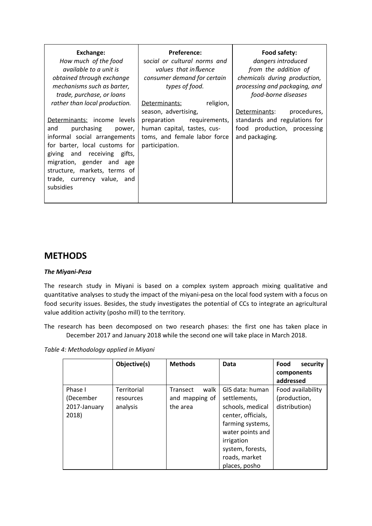### **METHODS**

#### *The Miyani-Pesa*

The research study in Miyani is based on a complex system approach mixing qualitative and quantitative analyses to study the impact of the miyani-pesa on the local food system with a focus on food security issues. Besides, the study investigates the potential of CCs to integrate an agricultural value addition activity (posho mill) to the territory.

The research has been decomposed on two research phases: the first one has taken place in December 2017 and January 2018 while the second one will take place in March 2018.

*Table 4: Methodology applied in Miyani*

|                                               | Objective(s)                         | <b>Methods</b>                                        | <b>Data</b>                                                                                                                                                                           | Food<br>security<br>components<br>addressed        |
|-----------------------------------------------|--------------------------------------|-------------------------------------------------------|---------------------------------------------------------------------------------------------------------------------------------------------------------------------------------------|----------------------------------------------------|
| Phase I<br>(December<br>2017-January<br>2018) | Territorial<br>resources<br>analysis | walk<br><b>Transect</b><br>and mapping of<br>the area | GIS data: human<br>settlements,<br>schools, medical<br>center, officials,<br>farming systems,<br>water points and<br>irrigation<br>system, forests,<br>roads, market<br>places, posho | Food availability<br>(production,<br>distribution) |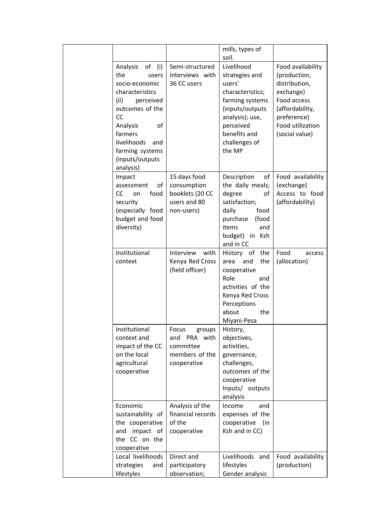|                                                                                                                                                                                                                                       |                                                                               | mills, types of<br>soil.                                                                                                                                                    |                                                                                                                                                        |
|---------------------------------------------------------------------------------------------------------------------------------------------------------------------------------------------------------------------------------------|-------------------------------------------------------------------------------|-----------------------------------------------------------------------------------------------------------------------------------------------------------------------------|--------------------------------------------------------------------------------------------------------------------------------------------------------|
| of<br>Analysis<br>(i)<br>the<br>users<br>socio-economic<br>characteristics<br>(ii)<br>perceived<br>outcomes of the<br><b>CC</b><br>of<br>Analysis<br>farmers<br>livelihoods<br>and<br>farming systems<br>(inputs/outputs<br>analysis) | Semi-structured<br>interviews with<br>36 CC users                             | Livelihood<br>strategies and<br>users'<br>characteristics;<br>farming systems<br>(inputs/outputs<br>analysis); use,<br>perceived<br>benefits and<br>challenges of<br>the MP | Food availability<br>(production,<br>distribution,<br>exchange)<br>Food access<br>(affordability,<br>preference)<br>Food utilization<br>(social value) |
| Impact<br>of<br>assessment<br>CC<br>food<br>on<br>security<br>(especially food<br>budget and food<br>diversity)                                                                                                                       | 15 days food<br>consumption<br>booklets (20 CC<br>users and 80<br>non-users)  | Description<br>of<br>the daily meals;<br>degree<br>of<br>satisfaction;<br>daily<br>food<br>purchase<br>(food<br>items<br>and<br>budget) in Ksh<br>and in CC                 | Food availability<br>(exchange)<br>Access to food<br>(affordability)                                                                                   |
| Institutional<br>context                                                                                                                                                                                                              | Interview<br>with<br>Kenya Red Cross<br>(field officer)                       | History of the<br>the<br>and<br>area<br>cooperative<br>Role<br>and<br>activities of the<br>Kenya Red Cross<br>Perceptions<br>about<br>the<br>Miyani-Pesa                    | Food<br>access<br>(allocation)                                                                                                                         |
| Institutional<br>context and<br>impact of the CC<br>on the local<br>agricultural<br>cooperative                                                                                                                                       | Focus<br>groups<br>and PRA with<br>committee<br>members of the<br>cooperative | History,<br>objectives,<br>activities,<br>governance,<br>challenges,<br>outcomes of the<br>cooperative<br>Inputs/ outputs<br>analysis                                       |                                                                                                                                                        |
| Economic<br>sustainability of<br>the cooperative<br>impact of<br>and<br>the CC on the<br>cooperative                                                                                                                                  | Analysis of the<br>financial records<br>of the<br>cooperative                 | Income<br>and<br>expenses of the<br>cooperative<br>(in<br>Ksh and in CC)                                                                                                    |                                                                                                                                                        |
| Local livelihoods<br>strategies<br>and<br>lifestyles                                                                                                                                                                                  | Direct and<br>participatory<br>observation;                                   | Livelihoods and<br>lifestyles<br>Gender analysis                                                                                                                            | Food availability<br>(production)                                                                                                                      |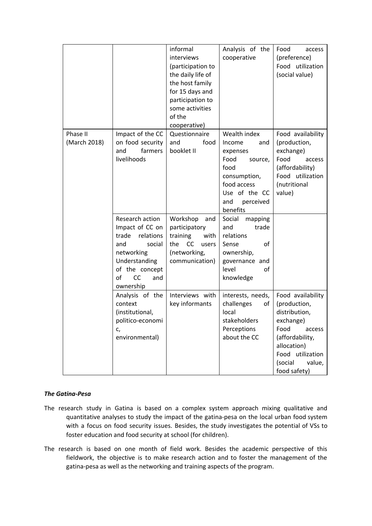|                          |                                                                                                                                         | informal<br>interviews<br>(participation to<br>the daily life of<br>the host family<br>for 15 days and<br>participation to<br>some activities<br>of the<br>cooperative) | Analysis of the<br>cooperative                                                                                                                                            | Food<br>access<br>(preference)<br>Food utilization<br>(social value)                                                                                                         |
|--------------------------|-----------------------------------------------------------------------------------------------------------------------------------------|-------------------------------------------------------------------------------------------------------------------------------------------------------------------------|---------------------------------------------------------------------------------------------------------------------------------------------------------------------------|------------------------------------------------------------------------------------------------------------------------------------------------------------------------------|
| Phase II<br>(March 2018) | Impact of the CC<br>on food security<br>farmers<br>and<br>livelihoods<br>Research action                                                | Questionnaire<br>and<br>food<br>booklet II<br>Workshop<br>and                                                                                                           | Wealth index<br>Income<br>and<br>expenses<br>Food<br>source,<br>food<br>consumption,<br>food access<br>Use of the CC<br>and<br>perceived<br>benefits<br>Social<br>mapping | Food availability<br>(production,<br>exchange)<br>Food<br>access<br>(affordability)<br>Food utilization<br>(nutritional<br>value)                                            |
|                          | Impact of CC on<br>relations<br>trade<br>and<br>social<br>networking<br>Understanding<br>of the concept<br>оf<br>CC<br>and<br>ownership | participatory<br>training<br>with<br>CC<br>the<br>users<br>(networking,<br>communication)                                                                               | and<br>trade<br>relations<br>o <sub>f</sub><br>Sense<br>ownership,<br>governance and<br>level<br>οf<br>knowledge                                                          |                                                                                                                                                                              |
|                          | Analysis of the<br>context<br>(institutional,<br>politico-economi<br>c,<br>environmental)                                               | Interviews with<br>key informants                                                                                                                                       | interests, needs,<br>challenges<br>οf<br>local<br>stakeholders<br>Perceptions<br>about the CC                                                                             | Food availability<br>(production,<br>distribution,<br>exchange)<br>Food<br>access<br>(affordability,<br>allocation)<br>Food utilization<br>(social<br>value,<br>food safety) |

#### *The Gatina-Pesa*

- The research study in Gatina is based on a complex system approach mixing qualitative and quantitative analyses to study the impact of the gatina-pesa on the local urban food system with a focus on food security issues. Besides, the study investigates the potential of VSs to foster education and food security at school (for children).
- The research is based on one month of field work. Besides the academic perspective of this fieldwork, the objective is to make research action and to foster the management of the gatina-pesa as well as the networking and training aspects of the program.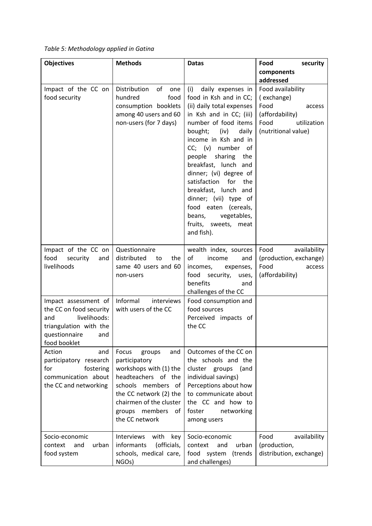| Table 5: Methodology applied in Gatina |  |
|----------------------------------------|--|
|----------------------------------------|--|

| <b>Objectives</b>                                                                                                                        | <b>Methods</b>                                                                                                                                                                                                | <b>Datas</b>                                                                                                                                                                                                                                                                                                                                                                                                                                           | Food<br>security                                                                                                   |
|------------------------------------------------------------------------------------------------------------------------------------------|---------------------------------------------------------------------------------------------------------------------------------------------------------------------------------------------------------------|--------------------------------------------------------------------------------------------------------------------------------------------------------------------------------------------------------------------------------------------------------------------------------------------------------------------------------------------------------------------------------------------------------------------------------------------------------|--------------------------------------------------------------------------------------------------------------------|
|                                                                                                                                          |                                                                                                                                                                                                               |                                                                                                                                                                                                                                                                                                                                                                                                                                                        | components<br>addressed                                                                                            |
| Impact of the CC on<br>food security                                                                                                     | Distribution of<br>one<br>hundred<br>food<br>consumption booklets<br>among 40 users and 60<br>non-users (for 7 days)                                                                                          | (i)<br>daily expenses in<br>food in Ksh and in CC;<br>(ii) daily total expenses<br>in Ksh and in CC; (iii)<br>number of food items<br>bought; (iv)<br>daily<br>income in Ksh and in<br>CC; (v) number of<br>people sharing the<br>breakfast, lunch and<br>dinner; (vi) degree of<br>satisfaction<br>for<br>the<br>breakfast, lunch and<br>dinner; (vii) type of<br>food eaten (cereals,<br>vegetables,<br>beans,<br>fruits, sweets, meat<br>and fish). | Food availability<br>(exchange)<br>Food<br>access<br>(affordability)<br>Food<br>utilization<br>(nutritional value) |
| Impact of the CC on<br>food<br>security<br>and<br>livelihoods                                                                            | Questionnaire<br>distributed<br>to<br>the<br>same 40 users and 60<br>non-users                                                                                                                                | wealth index, sources<br>of<br>income<br>and<br>incomes,<br>expenses,<br>food<br>security,<br>uses,<br>benefits<br>and<br>challenges of the CC                                                                                                                                                                                                                                                                                                         | Food<br>availability<br>(production, exchange)<br>Food<br>access<br>(affordability)                                |
| Impact assessment of<br>the CC on food security<br>livelihoods:<br>and<br>triangulation with the<br>questionnaire<br>and<br>food booklet | Informal<br>interviews<br>with users of the CC                                                                                                                                                                | Food consumption and<br>food sources<br>Perceived impacts of<br>the CC                                                                                                                                                                                                                                                                                                                                                                                 |                                                                                                                    |
| Action<br>and<br>participatory research<br>fostering<br>for<br>communication about<br>the CC and networking                              | Focus<br>groups<br>and<br>participatory<br>workshops with (1) the<br>headteachers of the<br>schools members of<br>the CC network (2) the<br>chairmen of the cluster<br>groups members<br>of<br>the CC network | Outcomes of the CC on<br>the schools and the<br>cluster groups<br>(and<br>individual savings)<br>Perceptions about how<br>to communicate about<br>the CC and how to<br>foster<br>networking<br>among users                                                                                                                                                                                                                                             |                                                                                                                    |
| Socio-economic<br>urban<br>context<br>and<br>food system                                                                                 | Interviews<br>with<br>key<br>informants<br>(officials,<br>schools, medical care,<br>NGO <sub>s</sub> )                                                                                                        | Socio-economic<br>context<br>urban<br>and<br>food system<br>(trends<br>and challenges)                                                                                                                                                                                                                                                                                                                                                                 | Food<br>availability<br>(production,<br>distribution, exchange)                                                    |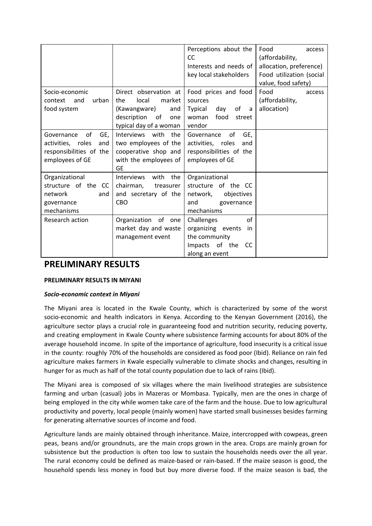|                                                                                                   |                                                                                                                              | Perceptions about the<br><b>CC</b><br>Interests and needs of<br>key local stakeholders                               | Food<br>access<br>(affordability,<br>allocation, preference)<br>Food utilization (social<br>value, food safety) |
|---------------------------------------------------------------------------------------------------|------------------------------------------------------------------------------------------------------------------------------|----------------------------------------------------------------------------------------------------------------------|-----------------------------------------------------------------------------------------------------------------|
| Socio-economic<br>urban<br>and<br>context<br>food system                                          | Direct observation at<br>local<br>market<br>the<br>(Kawangware)<br>and<br>description<br>of<br>one<br>typical day of a woman | Food prices and food<br>sources<br>day<br>of<br>Typical<br>a a<br>woman food<br>street<br>vendor                     | Food<br>access<br>(affordability,<br>allocation)                                                                |
| of<br>GE,<br>Governance<br>activities, roles<br>and<br>responsibilities of the<br>employees of GE | Interviews with the<br>two employees of the<br>cooperative shop and<br>with the employees of<br>GE                           | Governance<br>οf<br>GE,<br>activities, roles<br>and<br>responsibilities of the<br>employees of GE                    |                                                                                                                 |
| Organizational<br>structure of the CC<br>network<br>and<br>governance<br>mechanisms               | the<br><b>Interviews</b><br>with<br>chairman,<br>treasurer<br>and secretary of the<br><b>CBO</b>                             | Organizational<br>structure of the CC<br>network,<br>objectives<br>and<br>governance<br>mechanisms                   |                                                                                                                 |
| Research action                                                                                   | Organization<br>of one<br>market day and waste<br>management event                                                           | of<br>Challenges<br>organizing events<br>in<br>the community<br>of the<br>Impacts<br><sub>CC</sub><br>along an event |                                                                                                                 |

# **PRELIMINARY RESULTS**

#### **PRELIMINARY RESULTS IN MIYANI**

#### *Socio-economic context in Miyani*

The Miyani area is located in the Kwale County, which is characterized by some of the worst socio-economic and health indicators in Kenya. According to the Kenyan Government (2016), the agriculture sector plays a crucial role in guaranteeing food and nutrition security, reducing poverty, and creating employment in Kwale County where subsistence farming accounts for about 80% of the average household income. In spite of the importance of agriculture, food insecurity is a critical issue in the county: roughly 70% of the households are considered as food poor (Ibid). Reliance on rain fed agriculture makes farmers in Kwale especially vulnerable to climate shocks and changes, resulting in hunger for as much as half of the total county population due to lack of rains (Ibid).

The Miyani area is composed of six villages where the main livelihood strategies are subsistence farming and urban (casual) jobs in Mazeras or Mombasa. Typically, men are the ones in charge of being employed in the city while women take care of the farm and the house. Due to low agricultural productivity and poverty, local people (mainly women) have started small businesses besides farming for generating alternative sources of income and food.

Agriculture lands are mainly obtained through inheritance. Maize, intercropped with cowpeas, green peas, beans and/or groundnuts, are the main crops grown in the area. Crops are mainly grown for subsistence but the production is often too low to sustain the households needs over the all year. The rural economy could be defined as maize-based or rain-based. If the maize season is good, the household spends less money in food but buy more diverse food. If the maize season is bad, the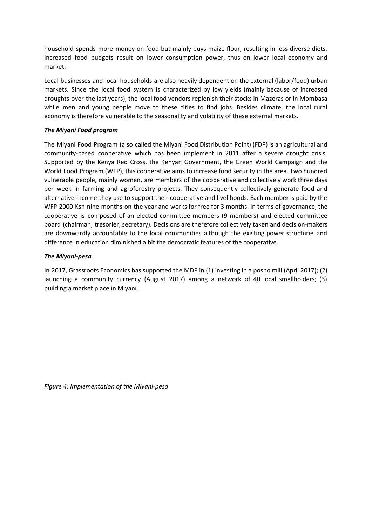household spends more money on food but mainly buys maize flour, resulting in less diverse diets. Increased food budgets result on lower consumption power, thus on lower local economy and market.

Local businesses and local households are also heavily dependent on the external (labor/food) urban markets. Since the local food system is characterized by low yields (mainly because of increased droughts over the last years), the local food vendors replenish their stocks in Mazeras or in Mombasa while men and young people move to these cities to find jobs. Besides climate, the local rural economy is therefore vulnerable to the seasonality and volatility of these external markets.

#### *The Miyani Food program*

The Miyani Food Program (also called the Miyani Food Distribution Point) (FDP) is an agricultural and community-based cooperative which has been implement in 2011 after a severe drought crisis. Supported by the Kenya Red Cross, the Kenyan Government, the Green World Campaign and the World Food Program (WFP), this cooperative aims to increase food security in the area. Two hundred vulnerable people, mainly women, are members of the cooperative and collectively work three days per week in farming and agroforestry projects. They consequently collectively generate food and alternative income they use to support their cooperative and livelihoods. Each member is paid by the WFP 2000 Ksh nine months on the year and works for free for 3 months. In terms of governance, the cooperative is composed of an elected committee members (9 members) and elected committee board (chairman, tresorier, secretary). Decisions are therefore collectively taken and decision-makers are downwardly accountable to the local communities although the existing power structures and difference in education diminished a bit the democratic features of the cooperative.

#### *The Miyani-pesa*

In 2017, Grassroots Economics has supported the MDP in (1) investing in a posho mill (April 2017); (2) launching a community currency (August 2017) among a network of 40 local smallholders; (3) building a market place in Miyani.

*Figure 4: Implementation of the Miyani-pesa*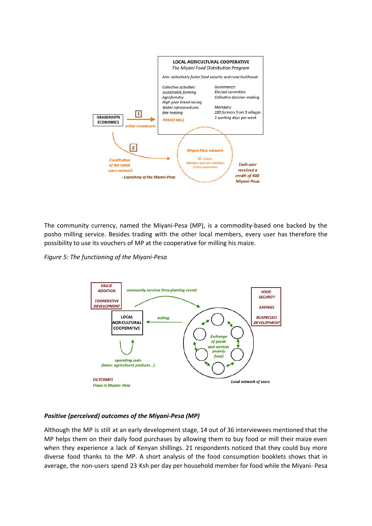

The community currency, named the Miyani-Pesa (MP), is a commodity-based one backed by the posho milling service. Besides trading with the other local members, every user has therefore the possibility to use its vouchers of MP at the cooperative for milling his maize.

*Figure 5: The functioning of the Miyani-Pesa*



#### *Positive (perceived) outcomes of the Miyani-Pesa (MP)*

Although the MP is still at an early development stage, 14 out of 36 interviewees mentioned that the MP helps them on their daily food purchases by allowing them to buy food or mill their maize even when they experience a lack of Kenyan shillings. 21 respondents noticed that they could buy more diverse food thanks to the MP. A short analysis of the food consumption booklets shows that in average, the non-users spend 23 Ksh per day per household member for food while the Miyani- Pesa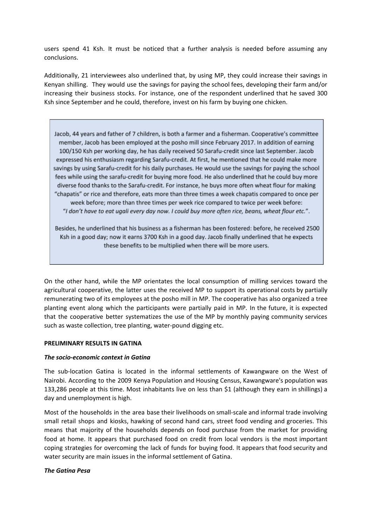users spend 41 Ksh. It must be noticed that a further analysis is needed before assuming any conclusions.

Additionally, 21 interviewees also underlined that, by using MP, they could increase their savings in Kenyan shilling. They would use the savings for paying the school fees, developing their farm and/or increasing their business stocks. For instance, one of the respondent underlined that he saved 300 Ksh since September and he could, therefore, invest on his farm by buying one chicken.

Jacob, 44 years and father of 7 children, is both a farmer and a fisherman. Cooperative's committee member, Jacob has been employed at the posho mill since February 2017. In addition of earning 100/150 Ksh per working day, he has daily received 50 Sarafu-credit since last September. Jacob expressed his enthusiasm regarding Sarafu-credit. At first, he mentioned that he could make more savings by using Sarafu-credit for his daily purchases. He would use the savings for paying the school fees while using the sarafu-credit for buying more food. He also underlined that he could buy more diverse food thanks to the Sarafu-credit. For instance, he buys more often wheat flour for making "chapatis" or rice and therefore, eats more than three times a week chapatis compared to once per week before; more than three times per week rice compared to twice per week before: "I don't have to eat ugali every day now. I could buy more often rice, beans, wheat flour etc.".

Besides, he underlined that his business as a fisherman has been fostered: before, he received 2500 Ksh in a good day; now it earns 3700 Ksh in a good day. Jacob finally underlined that he expects these benefits to be multiplied when there will be more users.

On the other hand, while the MP orientates the local consumption of milling services toward the agricultural cooperative, the latter uses the received MP to support its operational costs by partially remunerating two of its employees at the posho mill in MP. The cooperative has also organized a tree planting event along which the participants were partially paid in MP. In the future, it is expected that the cooperative better systematizes the use of the MP by monthly paying community services such as waste collection, tree planting, water-pound digging etc.

#### **PRELIMINARY RESULTS IN GATINA**

#### *The socio-economic context in Gatina*

The sub-location Gatina is located in the informal settlements of Kawangware on the West of Nairobi. According to the 2009 Kenya Population and Housing Census, Kawangware's population was 133,286 people at this time. Most inhabitants live on less than \$1 (although they earn in shillings) a day and unemployment is high.

Most of the households in the area base their livelihoods on small-scale and informal trade involving small retail shops and kiosks, hawking of second hand cars, street food vending and groceries. This means that majority of the households depends on food purchase from the market for providing food at home. It appears that purchased food on credit from local vendors is the most important coping strategies for overcoming the lack of funds for buying food. It appears that food security and water security are main issues in the informal settlement of Gatina.

#### *The Gatina Pesa*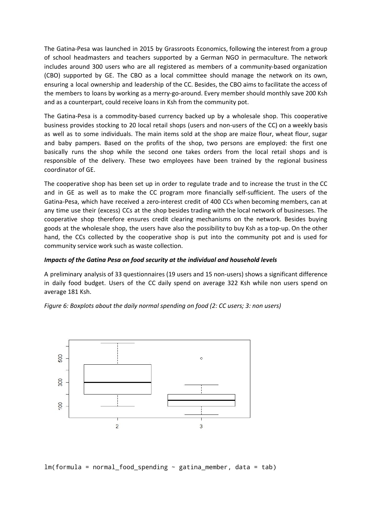The Gatina-Pesa was launched in 2015 by Grassroots Economics, following the interest from a group of school headmasters and teachers supported by a German NGO in permaculture. The network includes around 300 users who are all registered as members of a community-based organization (CBO) supported by GE. The CBO as a local committee should manage the network on its own, ensuring a local ownership and leadership of the CC. Besides, the CBO aims to facilitate the access of the members to loans by working as a merry-go-around. Every member should monthly save 200 Ksh and as a counterpart, could receive loans in Ksh from the community pot.

The Gatina-Pesa is a commodity-based currency backed up by a wholesale shop. This cooperative business provides stocking to 20 local retail shops (users and non-users of the CC) on a weekly basis as well as to some individuals. The main items sold at the shop are maize flour, wheat flour, sugar and baby pampers. Based on the profits of the shop, two persons are employed: the first one basically runs the shop while the second one takes orders from the local retail shops and is responsible of the delivery. These two employees have been trained by the regional business coordinator of GE.

The cooperative shop has been set up in order to regulate trade and to increase the trust in the CC and in GE as well as to make the CC program more financially self-sufficient. The users of the Gatina-Pesa, which have received a zero-interest credit of 400 CCs when becoming members, can at any time use their (excess) CCs at the shop besides trading with the local network of businesses. The cooperative shop therefore ensures credit clearing mechanisms on the network. Besides buying goods at the wholesale shop, the users have also the possibility to buy Ksh as a top-up. On the other hand, the CCs collected by the cooperative shop is put into the community pot and is used for community service work such as waste collection.

#### *Impacts of the Gatina Pesa on food security at the individual and household levels*

A preliminary analysis of 33 questionnaires (19 users and 15 non-users) shows a significant difference in daily food budget. Users of the CC daily spend on average 322 Ksh while non users spend on average 181 Ksh.

*Figure 6: Boxplots about the daily normal spending on food (2: CC users; 3: non users)*



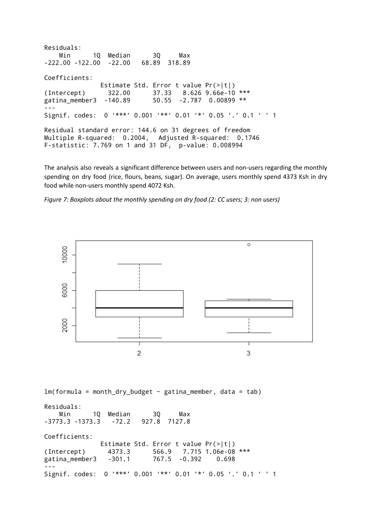Residuals: Min 1Q Median 3Q Max -222.00 -122.00 -22.00 68.89 318.89 Coefficients: Estimate Std. Error t value Pr(>|t|) (Intercept) 322.00 37.33 8.626 9.66e-10 \*\*\* gatina\_member3 -140.89 50.55 -2.787 0.00899 \*\* --- Signif. codes: 0 '\*\*\*' 0.001 '\*\*' 0.01 '\*' 0.05 '.' 0.1 ' ' 1 Residual standard error: 144.6 on 31 degrees of freedom Multiple R-squared: 0.2004, Adjusted R-squared: 0.1746 F-statistic: 7.769 on 1 and 31 DF, p-value: 0.008994

The analysis also reveals a significant difference between users and non-users regarding the monthly spending on dry food (rice, flours, beans, sugar). On average, users monthly spend 4373 Ksh in dry food while non-users monthly spend 4072 Ksh.

*Figure 7: Boxplots about the monthly spending on dry food (2: CC users; 3: non users)*



Residuals: Min 1Q Median 3Q Max -3773.3 -1373.3 -72.2 927.8 7127.8 Coefficients: Estimate Std. Error t value Pr(>|t|) (Intercept) 4373.3 566.9 7.715 1.06e-08 \*\*\* gatina\_member3 -301.1 767.5 -0.392 0.698 --- Signif. codes: 0 '\*\*\*' 0.001 '\*\*' 0.01 '\*' 0.05 '.' 0.1 ' ' 1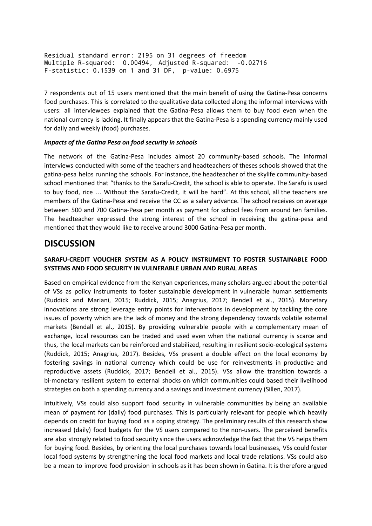Residual standard error: 2195 on 31 degrees of freedom Multiple R-squared: 0.00494, Adjusted R-squared: -0.02716 F-statistic: 0.1539 on 1 and 31 DF, p-value: 0.6975

7 respondents out of 15 users mentioned that the main benefit of using the Gatina-Pesa concerns food purchases. This is correlated to the qualitative data collected along the informal interviews with users: all interviewees explained that the Gatina-Pesa allows them to buy food even when the national currency is lacking. It finally appears that the Gatina-Pesa is a spending currency mainly used for daily and weekly (food) purchases.

#### *Impacts of the Gatina Pesa on food security in schools*

The network of the Gatina-Pesa includes almost 20 community-based schools. The informal interviews conducted with some of the teachers and headteachers of theses schools showed that the gatina-pesa helps running the schools. For instance, the headteacher of the skylife community-based school mentioned that "thanks to the Sarafu-Credit, the school is able to operate. The Sarafu is used to buy food, rice … Without the Sarafu-Credit, it will be hard". At this school, all the teachers are members of the Gatina-Pesa and receive the CC as a salary advance. The school receives on average between 500 and 700 Gatina-Pesa per month as payment for school fees from around ten families. The headteacher expressed the strong interest of the school in receiving the gatina-pesa and mentioned that they would like to receive around 3000 Gatina-Pesa per month.

### **DISCUSSION**

#### **SARAFU-CREDIT VOUCHER SYSTEM AS A POLICY INSTRUMENT TO FOSTER SUSTAINABLE FOOD SYSTEMS AND FOOD SECURITY IN VULNERABLE URBAN AND RURAL AREAS**

Based on empirical evidence from the Kenyan experiences, many scholars argued about the potential of VSs as policy instruments to foster sustainable development in vulnerable human settlements (Ruddick and Mariani, 2015; Ruddick, 2015; Anagrius, 2017; Bendell et al., 2015). Monetary innovations are strong leverage entry points for interventions in development by tackling the core issues of poverty which are the lack of money and the strong dependency towards volatile external markets (Bendall et al., 2015). By providing vulnerable people with a complementary mean of exchange, local resources can be traded and used even when the national currency is scarce and thus, the local markets can be reinforced and stabilized, resulting in resilient socio-ecological systems (Ruddick, 2015; Anagrius, 2017). Besides, VSs present a double effect on the local economy by fostering savings in national currency which could be use for reinvestments in productive and reproductive assets (Ruddick, 2017; Bendell et al., 2015). VSs allow the transition towards a bi-monetary resilient system to external shocks on which communities could based their livelihood strategies on both a spending currency and a savings and investment currency (Sillen, 2017).

Intuitively, VSs could also support food security in vulnerable communities by being an available mean of payment for (daily) food purchases. This is particularly relevant for people which heavily depends on credit for buying food as a coping strategy. The preliminary results of this research show increased (daily) food budgets for the VS users compared to the non-users. The perceived benefits are also strongly related to food security since the users acknowledge the fact that the VS helps them for buying food. Besides, by orienting the local purchases towards local businesses, VSs could foster local food systems by strengthening the local food markets and local trade relations. VSs could also be a mean to improve food provision in schools as it has been shown in Gatina. It is therefore argued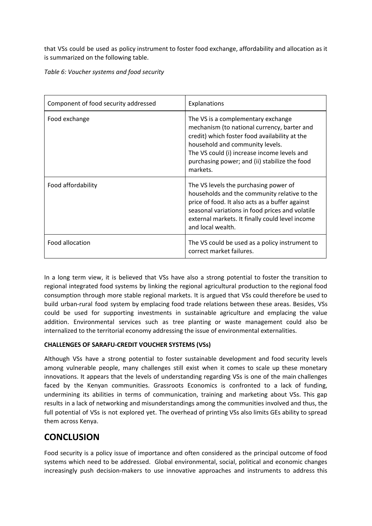that VSs could be used as policy instrument to foster food exchange, affordability and allocation as it is summarized on the following table.

*Table 6: Voucher systems and food security*

| Component of food security addressed | Explanations                                                                                                                                                                                                                                                                      |  |
|--------------------------------------|-----------------------------------------------------------------------------------------------------------------------------------------------------------------------------------------------------------------------------------------------------------------------------------|--|
| Food exchange                        | The VS is a complementary exchange<br>mechanism (to national currency, barter and<br>credit) which foster food availability at the<br>household and community levels.<br>The VS could (i) increase income levels and<br>purchasing power; and (ii) stabilize the food<br>markets. |  |
| Food affordability                   | The VS levels the purchasing power of<br>households and the community relative to the<br>price of food. It also acts as a buffer against<br>seasonal variations in food prices and volatile<br>external markets. It finally could level income<br>and local wealth.               |  |
| Food allocation                      | The VS could be used as a policy instrument to<br>correct market failures.                                                                                                                                                                                                        |  |

In a long term view, it is believed that VSs have also a strong potential to foster the transition to regional integrated food systems by linking the regional agricultural production to the regional food consumption through more stable regional markets. It is argued that VSs could therefore be used to build urban-rural food system by emplacing food trade relations between these areas. Besides, VSs could be used for supporting investments in sustainable agriculture and emplacing the value addition. Environmental services such as tree planting or waste management could also be internalized to the territorial economy addressing the issue of environmental externalities.

#### **CHALLENGES OF SARAFU-CREDIT VOUCHER SYSTEMS (VSs)**

Although VSs have a strong potential to foster sustainable development and food security levels among vulnerable people, many challenges still exist when it comes to scale up these monetary innovations. It appears that the levels of understanding regarding VSs is one of the main challenges faced by the Kenyan communities. Grassroots Economics is confronted to a lack of funding, undermining its abilities in terms of communication, training and marketing about VSs. This gap results in a lack of networking and misunderstandings among the communities involved and thus, the full potential of VSs is not explored yet. The overhead of printing VSs also limits GEs ability to spread them across Kenya.

# **CONCLUSION**

Food security is a policy issue of importance and often considered as the principal outcome of food systems which need to be addressed. Global environmental, social, political and economic changes increasingly push decision-makers to use innovative approaches and instruments to address this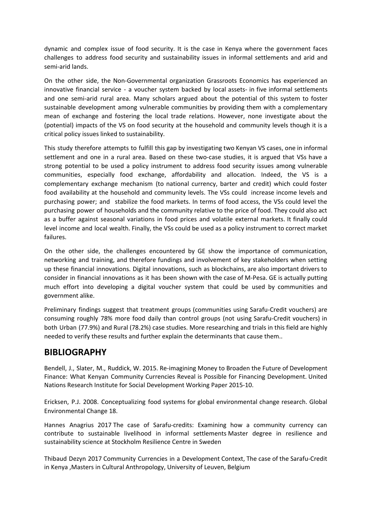dynamic and complex issue of food security. It is the case in Kenya where the government faces challenges to address food security and sustainability issues in informal settlements and arid and semi-arid lands.

On the other side, the Non-Governmental organization Grassroots Economics has experienced an innovative financial service - a voucher system backed by local assets- in five informal settlements and one semi-arid rural area. Many scholars argued about the potential of this system to foster sustainable development among vulnerable communities by providing them with a complementary mean of exchange and fostering the local trade relations. However, none investigate about the (potential) impacts of the VS on food security at the household and community levels though it is a critical policy issues linked to sustainability.

This study therefore attempts to fulfill this gap by investigating two Kenyan VS cases, one in informal settlement and one in a rural area. Based on these two-case studies, it is argued that VSs have a strong potential to be used a policy instrument to address food security issues among vulnerable communities, especially food exchange, affordability and allocation. Indeed, the VS is a complementary exchange mechanism (to national currency, barter and credit) which could foster food availability at the household and community levels. The VSs could increase income levels and purchasing power; and stabilize the food markets. In terms of food access, the VSs could level the purchasing power of households and the community relative to the price of food. They could also act as a buffer against seasonal variations in food prices and volatile external markets. It finally could level income and local wealth. Finally, the VSs could be used as a policy instrument to correct market failures.

On the other side, the challenges encountered by GE show the importance of communication, networking and training, and therefore fundings and involvement of key stakeholders when setting up these financial innovations. Digital innovations, such as blockchains, are also important drivers to consider in financial innovations as it has been shown with the case of M-Pesa. GE is actually putting much effort into developing a digital voucher system that could be used by communities and government alike.

Preliminary findings suggest that treatment groups (communities using Sarafu-Credit vouchers) are consuming roughly 78% more food daily than control groups (not using Sarafu-Credit vouchers) in both Urban (77.9%) and Rural (78.2%) case studies. More researching and trials in this field are highly needed to verify these results and further explain the determinants that cause them..

## **BIBLIOGRAPHY**

Bendell, J., Slater, M., Ruddick, W. 2015. Re-imagining Money to Broaden the Future of [Development](http://www.unrisd.org/80256B3C005BCCF9/search/99FCA15CAF8E24F4C1257E7E00501101?OpenDocument) Finance: What Kenyan Community Currencies Reveal is Possible for Financing [Development.](http://www.unrisd.org/80256B3C005BCCF9/search/99FCA15CAF8E24F4C1257E7E00501101?OpenDocument) United Nations Research Institute for Social Development Working Paper 2015-10.

Ericksen, P.J. 2008. Conceptualizing food systems for global environmental change research. Global Environmental Change 18.

Hannes Anagrius 2017 The case of [Sarafu-credits:](http://grassrootseconomics.org/sites/grassrootseconomics.org/files/Master%27s%20thesis%20in%20SERSD%20-%20Hannes%20Anagrius%20-%202017%20-%20final.pdf) Examining how a community currency can contribute to sustainable livelihood in informal [settlements](http://grassrootseconomics.org/sites/grassrootseconomics.org/files/Master%27s%20thesis%20in%20SERSD%20-%20Hannes%20Anagrius%20-%202017%20-%20final.pdf) Master degree in resilience and sustainability science at Stockholm Resilience Centre in Sweden

Thibaud Dezyn 2017 Community Currencies in a [Development](http://grassrootseconomics.org/sites/grassrootseconomics.org/files/Thesis_Final-Thibaud.pdf) Context, The case of the Sarafu-Credit in [Kenya](http://grassrootseconomics.org/sites/grassrootseconomics.org/files/Thesis_Final-Thibaud.pdf) ,Masters in Cultural Anthropology, University of Leuven, Belgium